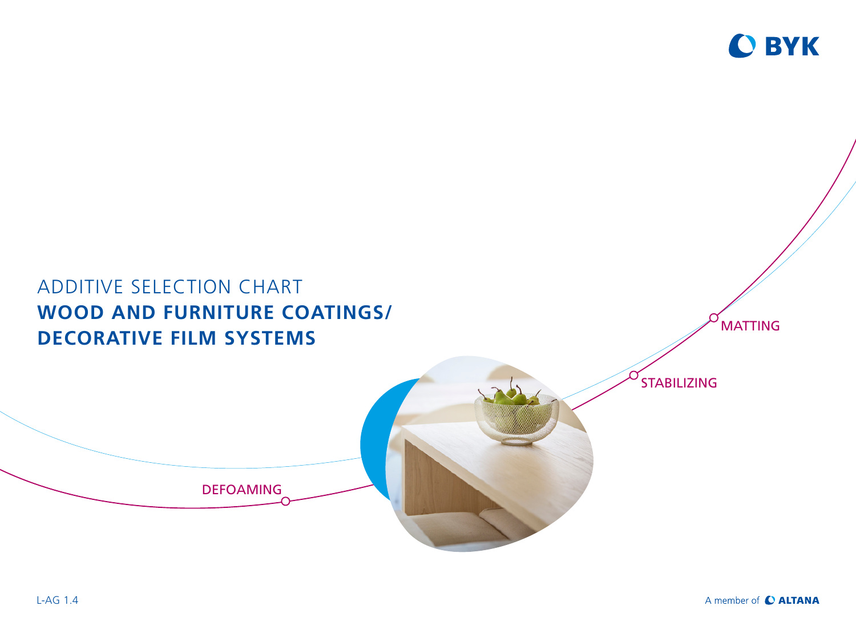

# ADDITIVE SELECTION CHART **WOOD AND FURNITURE COATINGS/ DECORATIVE FILM SYSTEMS** STABILIZING DEFOAMING **MATTING**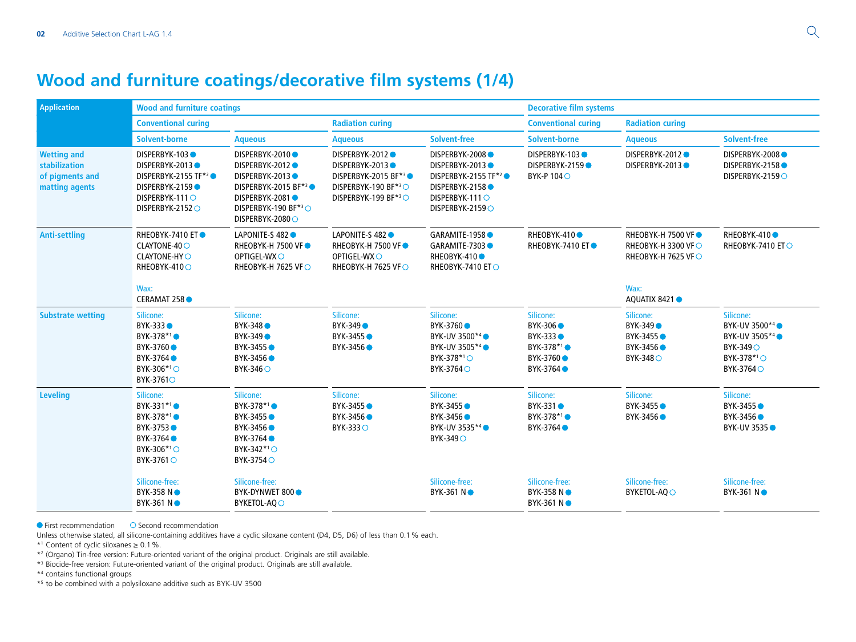## **Wood and furniture coatings/decorative film systems (1/4)**

| <b>Application</b>                                                       | <b>Wood and furniture coatings</b>                                                                                                 |                                                                                                                                        |                                                                                                                 |                                                                                                                               | <b>Decorative film systems</b>                                                                                 |                                                                              |                                                                                                                               |
|--------------------------------------------------------------------------|------------------------------------------------------------------------------------------------------------------------------------|----------------------------------------------------------------------------------------------------------------------------------------|-----------------------------------------------------------------------------------------------------------------|-------------------------------------------------------------------------------------------------------------------------------|----------------------------------------------------------------------------------------------------------------|------------------------------------------------------------------------------|-------------------------------------------------------------------------------------------------------------------------------|
|                                                                          | <b>Conventional curing</b>                                                                                                         |                                                                                                                                        | <b>Radiation curing</b>                                                                                         |                                                                                                                               | <b>Conventional curing</b>                                                                                     | <b>Radiation curing</b>                                                      |                                                                                                                               |
|                                                                          | <b>Solvent-borne</b>                                                                                                               | <b>Aqueous</b>                                                                                                                         | <b>Aqueous</b>                                                                                                  | <b>Solvent-free</b>                                                                                                           | <b>Solvent-borne</b>                                                                                           | <b>Aqueous</b>                                                               | <b>Solvent-free</b>                                                                                                           |
| <b>Wetting and</b><br>stabilization<br>of pigments and<br>matting agents | <b>DISPERBYK-103●</b><br>DISPERBYK-2013<br>DISPERBYK-2155 TF <sup>*2</sup><br>DISPERBYK-2159<br>DISPERBYK-111 O<br>DISPERBYK-21520 | DISPERBYK-2010<br>DISPERBYK-2012<br>DISPERBYK-2013<br>DISPERBYK-2015 BF*3<br>DISPERBYK-2081●<br>DISPERBYK-190 BF*3O<br>DISPERBYK-2080O | DISPERBYK-2012●<br><b>DISPERBYK-2013●</b><br>DISPERBYK-2015 BF*3●<br>DISPERBYK-190 BF*3O<br>DISPERBYK-199 BF*3O | DISPERBYK-2008<br>DISPERBYK-2013<br>DISPERBYK-2155 TF <sup>*2</sup> ●<br>DISPERBYK-2158<br>DISPERBYK-111 O<br>DISPERBYK-21590 | DISPERBYK-103<br>DISPERBYK-2159<br>BYK-P 1040                                                                  | DISPERBYK-2012●<br>DISPERBYK-2013                                            | DISPERBYK-2008●<br>DISPERBYK-2158●<br>DISPERBYK-21590                                                                         |
| <b>Anti-settling</b>                                                     | <b>RHEOBYK-7410 ET●</b><br>CLAYTONE-40 O<br><b>CLAYTONE-HYO</b><br>RHEOBYK-410O                                                    | LAPONITE-S 482<br><b>RHEOBYK-H 7500 VF●</b><br>OPTIGEL-WXO<br>RHEOBYK-H 7625 VF○                                                       | LAPONITE-S 482<br><b>RHEOBYK-H 7500 VF●</b><br>OPTIGEL-WXO<br>RHEOBYK-H 7625 VF○                                | GARAMITE-1958<br>GARAMITE-7303●<br>RHEOBYK-410 <sup>®</sup><br>RHEOBYK-7410 ET○                                               | RHEOBYK-410 <sup>o</sup><br><b>RHEOBYK-7410 ET●</b>                                                            | <b>RHEOBYK-H 7500 VF●</b><br>RHEOBYK-H 3300 VF○<br><b>RHEOBYK-H 7625 VF○</b> | RHEOBYK-410 <sup>O</sup><br>RHEOBYK-7410 ET○                                                                                  |
|                                                                          | Wax:<br>CERAMAT 258                                                                                                                |                                                                                                                                        |                                                                                                                 |                                                                                                                               |                                                                                                                | Wax:<br>AQUATIX 8421                                                         |                                                                                                                               |
| <b>Substrate wetting</b>                                                 | Silicone:<br>BYK-333<br>BYK-378*1●<br>BYK-3760 ●<br>BYK-3764 <sup>®</sup><br>BYK-306* <sup>1</sup> ○<br>BYK-37610                  | Silicone:<br>BYK-348<br>BYK-349 ●<br>BYK-3455 ●<br>BYK-3456 <sup></sup><br>BYK-346 O                                                   | Silicone:<br><b>BYK-349</b><br>BYK-3455 ●<br>BYK-3456 ●                                                         | Silicone:<br>BYK-3760 ●<br>BYK-UV 3500 <sup>*4</sup> ●<br>BYK-UV 3505*4●<br>BYK-378 <sup>*1</sup> ○<br>BYK-3764 O             | Silicone:<br>BYK-306<br>BYK-333 ●<br>BYK-378 <sup>*1</sup> ●<br>BYK-3760 <sup>®</sup><br>BYK-3764 <sup>®</sup> | Silicone:<br>BYK-349<br>BYK-3455 ●<br>BYK-3456 ●<br>BYK-3480                 | Silicone:<br>BYK-UV 3500 <sup>*4</sup> ●<br>BYK-UV 3505 <sup>*4</sup> ●<br>BYK-349 O<br>BYK-378 <sup>*1</sup> ○<br>BYK-3764 O |
| <b>Leveling</b>                                                          | Silicone:<br>BYK-331 <sup>*1</sup> ●<br>BYK-378*1●<br>BYK-3753●<br>BYK-3764<br>BYK-306* <sup>1</sup> ○<br>BYK-3761 ○               | Silicone:<br>BYK-378 <sup>*1</sup> ●<br>BYK-3455 ●<br>BYK-3456 ●<br>BYK-3764●<br>BYK-342*10<br>BYK-37540                               | Silicone:<br>BYK-3455 ●<br>BYK-3456 ●<br>BYK-3330                                                               | Silicone:<br>BYK-3455 ●<br>BYK-3456 ●<br>BYK-UV 3535 <sup>*4</sup> ●<br>BYK-349 O                                             | Silicone:<br>BYK-331 ●<br>BYK-378*1●<br>BYK-3764●                                                              | Silicone:<br>BYK-3455 ●<br>BYK-3456 ●                                        | Silicone:<br>BYK-3455 ●<br>BYK-3456 ●<br><b>BYK-UV 3535 O</b>                                                                 |
|                                                                          | Silicone-free:<br><b>BYK-358 N●</b><br>BYK-361 NO                                                                                  | Silicone-free:<br>BYK-DYNWET 800 ·<br>BYKETOL-AQO                                                                                      |                                                                                                                 | Silicone-free:<br><b>BYK-361 N●</b>                                                                                           | Silicone-free:<br>BYK-358 NO<br>BYK-361 NO                                                                     | Silicone-free:<br><b>BYKETOL-AQ ○</b>                                        | Silicone-free:<br><b>BYK-361 N●</b>                                                                                           |

 $\bullet$  First recommendation  $\bullet$  Second recommendation

Unless otherwise stated, all silicone-containing additives have a cyclic siloxane content (D4, D5, D6) of less than 0.1% each.

\*1 Content of cyclic siloxanes ≥ 0.1%.

\*2 (Organo) Tin-free version: Future-oriented variant of the original product. Originals are still available.

\*3 Biocide-free version: Future-oriented variant of the original product. Originals are still available.

\*4 contains functional groups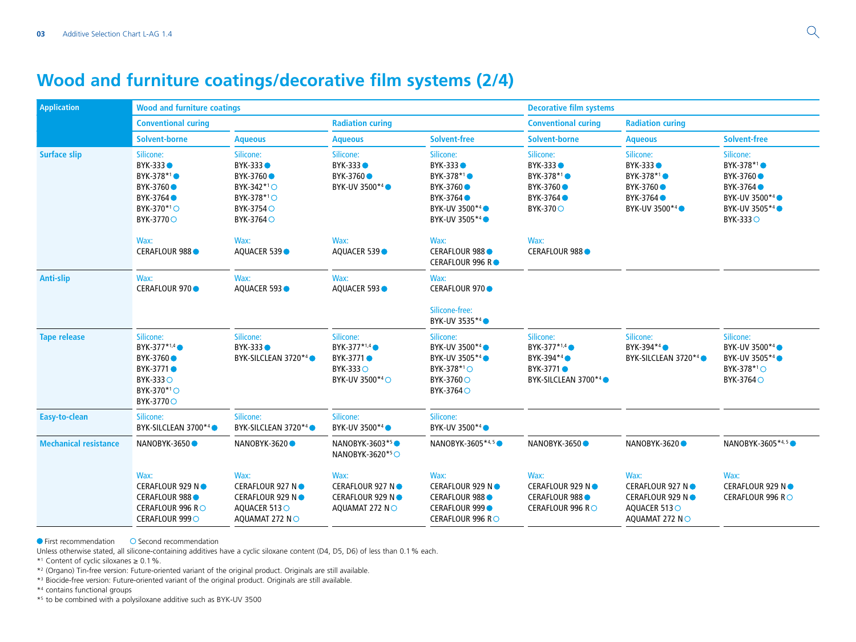## **Wood and furniture coatings/decorative film systems (2/4)**

| <b>Application</b>           | <b>Wood and furniture coatings</b>                                                                                            |                                                                                                        |                                                                                      |                                                                                                                                | <b>Decorative film systems</b>                                                                                       |                                                                                                      |                                                                                                                                            |
|------------------------------|-------------------------------------------------------------------------------------------------------------------------------|--------------------------------------------------------------------------------------------------------|--------------------------------------------------------------------------------------|--------------------------------------------------------------------------------------------------------------------------------|----------------------------------------------------------------------------------------------------------------------|------------------------------------------------------------------------------------------------------|--------------------------------------------------------------------------------------------------------------------------------------------|
|                              | <b>Conventional curing</b>                                                                                                    |                                                                                                        | <b>Radiation curing</b>                                                              |                                                                                                                                | <b>Conventional curing</b><br><b>Radiation curing</b>                                                                |                                                                                                      |                                                                                                                                            |
|                              | Solvent-borne                                                                                                                 | <b>Aqueous</b>                                                                                         | <b>Aqueous</b>                                                                       | <b>Solvent-free</b>                                                                                                            | <b>Solvent-borne</b>                                                                                                 | <b>Aqueous</b>                                                                                       | <b>Solvent-free</b>                                                                                                                        |
| <b>Surface slip</b>          | Silicone:<br>BYK-333<br>BYK-378 <sup>*1</sup> ●<br>BYK-3760 ●<br>BYK-3764 ●<br>BYK-370 <sup>*1</sup> ○<br>BYK-37700           | Silicone:<br>BYK-333<br>BYK-3760 ●<br>BYK-342*10<br>BYK-378 <sup>*1</sup> ○<br>BYK-3754 O<br>BYK-37640 | Silicone:<br>BYK-333<br>BYK-3760●<br>BYK-UV 3500*4                                   | Silicone:<br>BYK-333 ●<br>BYK-378 <sup>*1</sup> ●<br>BYK-3760 ●<br>BYK-3764 ●<br>BYK-UV 3500 <sup>*4</sup> ●<br>BYK-UV 3505*4● | Silicone:<br>BYK-333<br>BYK-378 <sup>*1</sup> ●<br>BYK-3760●<br>BYK-3764 ●<br>BYK-3700                               | Silicone:<br><b>BYK-333●</b><br>BYK-378 <sup>*1</sup> ●<br>BYK-3760 ●<br>BYK-3764 ●<br>BYK-UV 3500*4 | Silicone:<br>BYK-378 <sup>*1</sup> ●<br>BYK-3760 ●<br>BYK-3764 ●<br>BYK-UV 3500 <sup>*4</sup> ●<br>BYK-UV 3505 <sup>*4</sup> ●<br>BYK-3330 |
|                              | Wax:<br><b>CERAFLOUR 988</b>                                                                                                  | Wax:<br>AQUACER 539                                                                                    | Wax:<br>AQUACER 539                                                                  | Wax:<br>CERAFLOUR 988 ●<br>CERAFLOUR 996 R●                                                                                    | Wax:<br>CERAFLOUR 988 ●                                                                                              |                                                                                                      |                                                                                                                                            |
| Anti-slip                    | Wax:<br>CERAFLOUR 970 ●                                                                                                       | Wax:<br>AQUACER 593                                                                                    | Wax:<br>AQUACER 593                                                                  | Wax:<br>CERAFLOUR 970 ●<br>Silicone-free:                                                                                      |                                                                                                                      |                                                                                                      |                                                                                                                                            |
|                              |                                                                                                                               |                                                                                                        |                                                                                      | BYK-UV 3535 <sup>*4</sup> ●                                                                                                    |                                                                                                                      |                                                                                                      |                                                                                                                                            |
| <b>Tape release</b>          | Silicone:<br>BYK-377 <sup>*1,4</sup> ●<br>BYK-3760 ●<br>BYK-3771 ●<br><b>BYK-333○</b><br>BYK-370 <sup>*1</sup> ○<br>BYK-37700 | Silicone:<br>BYK-333 ●<br>BYK-SILCLEAN 3720 <sup>*4</sup> ●                                            | Silicone:<br>BYK-377 <sup>*1,4</sup> ●<br>BYK-3771 ●<br>$BYK-333O$<br>BYK-UV 3500*40 | Silicone:<br>BYK-UV 3500*4<br>BYK-UV 3505*4●<br>BYK-378 <sup>*1</sup> ○<br>BYK-3760 O<br>BYK-3764 O                            | Silicone:<br>BYK-377 <sup>*1,4</sup> ●<br>BYK-394* <sup>4</sup> ●<br>BYK-3771 ●<br>BYK-SILCLEAN 3700 <sup>*4</sup> ● | Silicone:<br>BYK-394 <sup>*4</sup> ●<br>BYK-SILCLEAN 3720*4                                          | Silicone:<br>BYK-UV 3500*4<br>BYK-UV 3505*4●<br>BYK-378 <sup>*1</sup> ○<br>BYK-3764 O                                                      |
| Easy-to-clean                | Silicone:<br>BYK-SILCLEAN 3700 <sup>*4</sup> ●                                                                                | Silicone:<br>BYK-SILCLEAN 3720 <sup>*4</sup> ●                                                         | Silicone:<br>BYK-UV 3500*4                                                           | Silicone:<br>BYK-UV 3500*4●                                                                                                    |                                                                                                                      |                                                                                                      |                                                                                                                                            |
| <b>Mechanical resistance</b> | NANOBYK-3650 ●                                                                                                                | NANOBYK-3620 ●                                                                                         | NANOBYK-3603 <sup>*5</sup> ●<br>NANOBYK-3620 <sup>*5</sup> ○                         | NANOBYK-3605 <sup>*4,5</sup> ●                                                                                                 | NANOBYK-3650 ●                                                                                                       | NANOBYK-3620●                                                                                        | NANOBYK-3605 <sup>*4,5</sup> ●                                                                                                             |
|                              | Wax:<br>CERAFLOUR 929 N ●<br>CERAFLOUR 988 ●<br>CERAFLOUR 996 R○<br>CERAFLOUR 999 O                                           | Wax:<br>CERAFLOUR 927 N●<br>CERAFLOUR 929 N●<br>AQUACER 5130<br>AQUAMAT 272 NO                         | Wax:<br>CERAFLOUR 927 N●<br>CERAFLOUR 929 N ●<br>AQUAMAT 272 NO                      | Wax:<br>CERAFLOUR 929 N ●<br>CERAFLOUR 988 ●<br><b>CERAFLOUR 999</b><br>CERAFLOUR 996 R○                                       | Wax:<br>CERAFLOUR 929 N ●<br>CERAFLOUR 988 ●<br>CERAFLOUR 996 R○                                                     | Wax:<br>CERAFLOUR 927 N●<br>CERAFLOUR 929 N ●<br>AQUACER 5130<br>AQUAMAT 272 NO                      | Wax:<br>CERAFLOUR 929 N●<br>CERAFLOUR 996 RO                                                                                               |

 $\bullet$  First recommendation  $\bullet$  Second recommendation

Unless otherwise stated, all silicone-containing additives have a cyclic siloxane content (D4, D5, D6) of less than 0.1% each.

\*1 Content of cyclic siloxanes ≥ 0.1%.

\*2 (Organo) Tin-free version: Future-oriented variant of the original product. Originals are still available.

\*3 Biocide-free version: Future-oriented variant of the original product. Originals are still available.

\*4 contains functional groups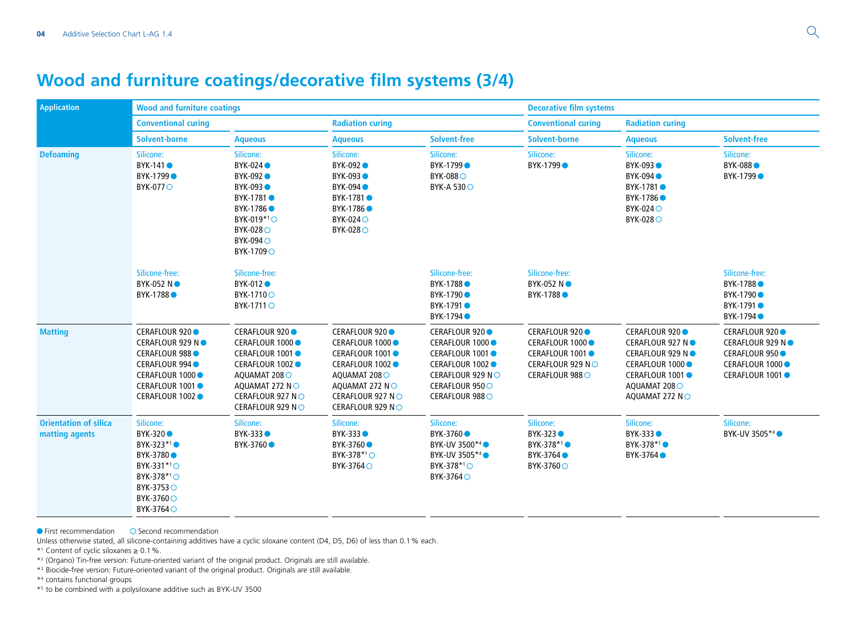## **Wood and furniture coatings/decorative film systems (3/4)**

| <b>Application</b>                             | <b>Wood and furniture coatings</b>                                                                                                         |                                                                                                                                                      |                                                                                                                                                       |                                                                                                                                     | <b>Decorative film systems</b>                                                              |                                                                                                                                   |                                                                                              |  |
|------------------------------------------------|--------------------------------------------------------------------------------------------------------------------------------------------|------------------------------------------------------------------------------------------------------------------------------------------------------|-------------------------------------------------------------------------------------------------------------------------------------------------------|-------------------------------------------------------------------------------------------------------------------------------------|---------------------------------------------------------------------------------------------|-----------------------------------------------------------------------------------------------------------------------------------|----------------------------------------------------------------------------------------------|--|
|                                                | <b>Conventional curing</b>                                                                                                                 |                                                                                                                                                      | <b>Radiation curing</b>                                                                                                                               |                                                                                                                                     | <b>Conventional curing</b><br><b>Radiation curing</b>                                       |                                                                                                                                   |                                                                                              |  |
|                                                | <b>Solvent-borne</b>                                                                                                                       | <b>Aqueous</b>                                                                                                                                       | <b>Aqueous</b>                                                                                                                                        | <b>Solvent-free</b>                                                                                                                 | <b>Solvent-borne</b>                                                                        | <b>Aqueous</b>                                                                                                                    | <b>Solvent-free</b>                                                                          |  |
| <b>Defoaming</b>                               | Silicone:<br>BYK-141 <sup>o</sup><br>BYK-1799 ●<br><b>BYK-0770</b>                                                                         | Silicone:<br>BYK-024<br>BYK-092 ●<br><b>BYK-093●</b><br>BYK-1781 ●<br>BYK-1786●<br>BYK-019*10<br>BYK-028 O<br><b>BYK-094</b> O<br>BYK-1709 O         | Silicone:<br><b>BYK-092</b><br>BYK-093<br><b>BYK-094</b><br>BYK-1781 ●<br>BYK-1786 ●<br>BYK-024 O<br><b>BYK-028</b> O                                 | Silicone:<br>BYK-1799●<br><b>BYK-088</b><br><b>BYK-A 530</b> ○                                                                      | Silicone:<br>BYK-1799●                                                                      | Silicone:<br>BYK-093<br><b>BYK-094</b><br>BYK-1781 ●<br>BYK-1786 ●<br><b>BYK-0240</b><br>BYK-0280                                 | Silicone:<br><b>BYK-088</b><br>BYK-1799●                                                     |  |
|                                                | Silicone-free:<br><b>BYK-052 N●</b><br>BYK-1788 ●                                                                                          | Silicone-free:<br>BYK-012 ●<br>BYK-17100<br>BYK-1711 O                                                                                               |                                                                                                                                                       | Silicone-free:<br>BYK-1788 ●<br>BYK-1790●<br>BYK-1791 ●<br>BYK-1794 ●                                                               | Silicone-free:<br><b>BYK-052 NO</b><br>BYK-1788 <sup></sup>                                 |                                                                                                                                   | Silicone-free:<br>BYK-1788 ●<br>BYK-1790●<br>BYK-1791 ●<br>BYK-1794 ●                        |  |
| <b>Matting</b>                                 | CERAFLOUR 920 ●<br>CERAFLOUR 929 N ●<br>CERAFLOUR 988 ●<br>CERAFLOUR 994<br>CERAFLOUR 1000<br>CERAFLOUR 1001 ●<br>CERAFLOUR 1002 ●         | CERAFLOUR 920 ●<br>CERAFLOUR 1000 ●<br>CERAFLOUR 1001●<br>CERAFLOUR 1002 ●<br>AQUAMAT 2080<br>AQUAMAT 272 NO<br>CERAFLOUR 927 NO<br>CERAFLOUR 929 NO | CERAFLOUR 920 ●<br>CERAFLOUR 1000 ●<br>CERAFLOUR 1001 ●<br>CERAFLOUR 1002 ●<br>AQUAMAT 2080<br>AQUAMAT 272 NO<br>CERAFLOUR 927 NO<br>CERAFLOUR 929 NO | CERAFLOUR 920 ●<br>CERAFLOUR 1000 ●<br>CERAFLOUR 1001●<br>CERAFLOUR 1002 ●<br>CERAFLOUR 929 NO<br>CERAFLOUR 950 ○<br>CERAFLOUR 9880 | CERAFLOUR 920 ●<br>CERAFLOUR 1000<br>CERAFLOUR 1001●<br>CERAFLOUR 929 NO<br>CERAFLOUR 988 O | CERAFLOUR 920 ●<br>CERAFLOUR 927 N●<br>CERAFLOUR 929 N ●<br>CERAFLOUR 1000<br>CERAFLOUR 1001 ●<br>AQUAMAT 208 O<br>AQUAMAT 272 NO | CERAFLOUR 920 ●<br>CERAFLOUR 929 N●<br>CERAFLOUR 950 ●<br>CERAFLOUR 1000<br>CERAFLOUR 1001 ● |  |
| <b>Orientation of silica</b><br>matting agents | Silicone:<br><b>BYK-320●</b><br>BYK-323*1●<br>BYK-3780 ●<br>BYK-331*10<br>BYK-378 <sup>*1</sup> ○<br>BYK-3753 O<br>BYK-37600<br>BYK-3764 O | Silicone:<br><b>BYK-333●</b><br>BYK-3760 ●                                                                                                           | Silicone:<br><b>BYK-333●</b><br>BYK-3760 ●<br>BYK-378 <sup>*1</sup> ○<br>BYK-3764 O                                                                   | Silicone:<br>BYK-3760 ●<br>BYK-UV 3500 <sup>*4</sup> ●<br>BYK-UV 3505*4●<br>BYK-378 <sup>*1</sup> ○<br>BYK-37640                    | Silicone:<br><b>BYK-323●</b><br>BYK-378*1●<br>BYK-3764 <sup>®</sup><br>BYK-3760○            | Silicone:<br>BYK-333 <sup>0</sup><br>BYK-378*1●<br>BYK-3764 ●                                                                     | Silicone:<br>BYK-UV 3505 <sup>*4</sup> ●                                                     |  |

 $\bullet$  First recommendation  $\bullet$  Second recommendation

Unless otherwise stated, all silicone-containing additives have a cyclic siloxane content (D4, D5, D6) of less than 0.1% each.

\*1 Content of cyclic siloxanes ≥ 0.1%.

\*2 (Organo) Tin-free version: Future-oriented variant of the original product. Originals are still available.

\*3 Biocide-free version: Future-oriented variant of the original product. Originals are still available.

\*4 contains functional groups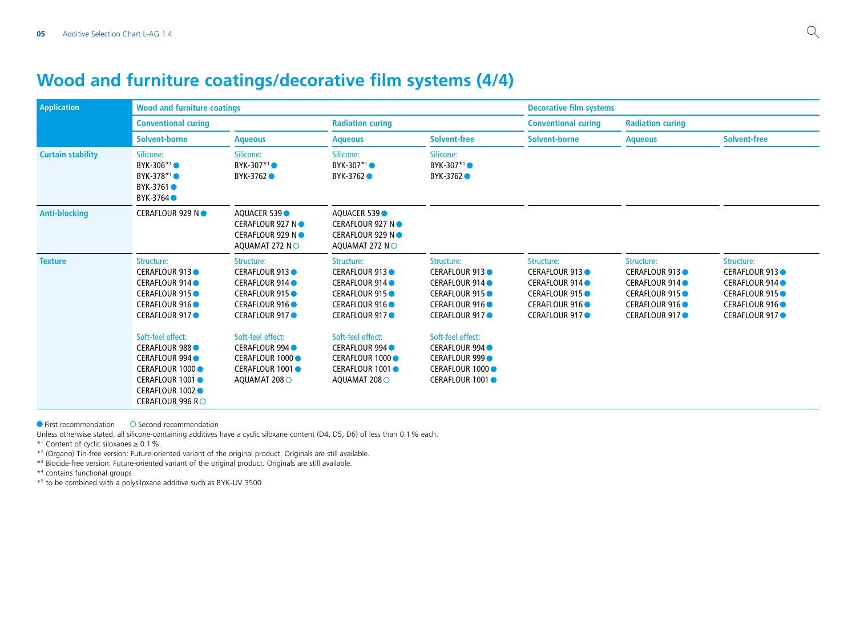## **Wood and furniture coatings/decorative film systems (4/4)**

| <b>Application</b>       | <b>Wood and furniture coatings</b>                                                                                                                 |                                                                                                                         |                                                                                                                          |                                                                                                                        | <b>Decorative film systems</b>                                                                              |                                                                                                                        |                                                                                                                |
|--------------------------|----------------------------------------------------------------------------------------------------------------------------------------------------|-------------------------------------------------------------------------------------------------------------------------|--------------------------------------------------------------------------------------------------------------------------|------------------------------------------------------------------------------------------------------------------------|-------------------------------------------------------------------------------------------------------------|------------------------------------------------------------------------------------------------------------------------|----------------------------------------------------------------------------------------------------------------|
|                          | <b>Conventional curing</b>                                                                                                                         |                                                                                                                         | <b>Radiation curing</b>                                                                                                  |                                                                                                                        | <b>Conventional curing</b>                                                                                  | <b>Radiation curing</b>                                                                                                |                                                                                                                |
|                          | Solvent-borne                                                                                                                                      | <b>Aqueous</b>                                                                                                          | <b>Aqueous</b>                                                                                                           | <b>Solvent-free</b>                                                                                                    | <b>Solvent-borne</b>                                                                                        | <b>Aqueous</b>                                                                                                         | <b>Solvent-free</b>                                                                                            |
| <b>Curtain stability</b> | Silicone:<br>BYK-306*1<br>BYK-378*1<br>BYK-3761 ●<br>BYK-3764                                                                                      | Silicone:<br>BYK-307*1●<br>BYK-3762 ●                                                                                   | Silicone:<br>BYK-307*1<br>BYK-3762 ●                                                                                     | Silicone:<br>BYK-307 <sup>*1</sup> ●<br>BYK-3762 ●                                                                     |                                                                                                             |                                                                                                                        |                                                                                                                |
| <b>Anti-blocking</b>     | CERAFLOUR 929 N ●                                                                                                                                  | AQUACER 539<br>CERAFLOUR 927 N ●<br>CERAFLOUR 929 N ●<br>AOUAMAT 272 NO                                                 | AOUACER 539<br>CERAFLOUR 927 N ●<br>CERAFLOUR 929 N ●<br>AOUAMAT 272 N $\circ$                                           |                                                                                                                        |                                                                                                             |                                                                                                                        |                                                                                                                |
| <b>Texture</b>           | Structure:<br><b>CERAFLOUR 913</b><br>CERAFLOUR 914 ●<br>CERAFLOUR 915 ●<br>CERAFLOUR 916<br>CERAFLOUR 917●                                        | Structure:<br><b>CERAFLOUR 913</b><br>CERAFLOUR 914 ●<br><b>CERAFLOUR 915</b><br><b>CERAFLOUR 916</b><br>CERAFLOUR 917● | Structure:<br><b>CERAFLOUR 913</b><br>CERAFLOUR 914 ●<br><b>CERAFLOUR 915●</b><br><b>CERAFLOUR 916</b><br>CERAFLOUR 917● | Structure:<br><b>CERAFLOUR 913</b><br>CERAFLOUR 914 ●<br><b>CERAFLOUR 915</b><br><b>CERAFLOUR 916</b><br>CERAFLOUR 917 | Structure:<br><b>CERAFLOUR 913</b><br>CERAFLOUR 914 ●<br>CERAFLOUR 915 ●<br>CERAFLOUR 916<br>CERAFLOUR 917● | Structure:<br><b>CERAFLOUR 913</b><br>CERAFLOUR 914 ●<br>CERAFLOUR 915<br><b>CERAFLOUR 916</b><br><b>CERAFLOUR 917</b> | Structure:<br><b>CERAFLOUR 913</b><br>CERAFLOUR 914 ●<br>CERAFLOUR 915 ●<br>CERAFLOUR 916 ●<br>CERAFLOUR 917 ● |
|                          | Soft-feel effect:<br><b>CERAFLOUR 988</b><br><b>CERAFLOUR 994</b><br>CERAFLOUR 1000 ●<br>CERAFLOUR 1001 ●<br>CERAFLOUR 1002 ●<br>CERAFLOUR 996 R ○ | Soft-feel effect:<br>CERAFLOUR 994 ●<br>CERAFLOUR 1000 ●<br>CERAFLOUR 1001 ●<br>AQUAMAT 208 O                           | Soft-feel effect:<br>CERAFLOUR 994 ●<br>CERAFLOUR 1000 ●<br>CERAFLOUR 1001 ●<br>AQUAMAT 2080                             | Soft-feel effect:<br>CERAFLOUR 994 ●<br><b>CERAFLOUR 999</b><br>CERAFLOUR 1000 ●<br>CERAFLOUR 1001●                    |                                                                                                             |                                                                                                                        |                                                                                                                |

 $\bullet$  First recommendation  $\bullet$  Second recommendation

Unless otherwise stated, all silicone-containing additives have a cyclic siloxane content (D4, D5, D6) of less than 0.1% each.

\*1 Content of cyclic siloxanes ≥ 0.1%.

\*2 (Organo) Tin-free version: Future-oriented variant of the original product. Originals are still available.

\*3 Biocide-free version: Future-oriented variant of the original product. Originals are still available.

\*4 contains functional groups